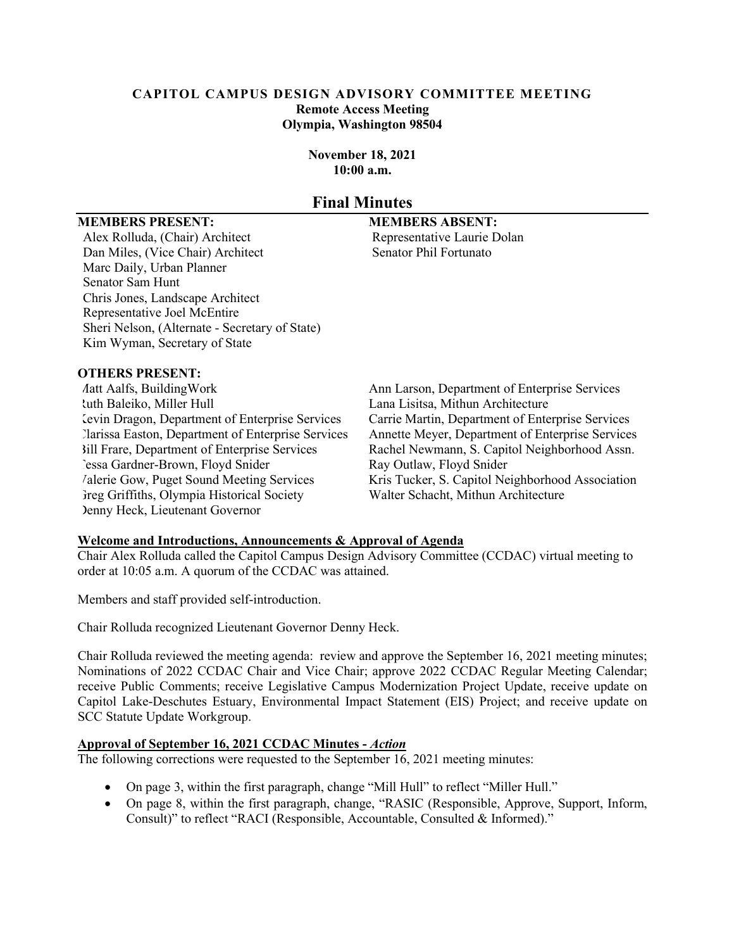#### **CAPITOL CAMPUS DESIGN ADVISORY COMMITTEE MEETING Remote Access Meeting Olympia, Washington 98504**

**November 18, 2021 10:00 a.m.**

# **Final Minutes**

#### **MEMBERS PRESENT: MEMBERS ABSENT:**

Alex Rolluda, (Chair) Architect Representative Laurie Dolan Dan Miles, (Vice Chair) Architect Senator Phil Fortunato Marc Daily, Urban Planner Senator Sam Hunt Chris Jones, Landscape Architect Representative Joel McEntire Sheri Nelson, (Alternate - Secretary of State) Kim Wyman, Secretary of State

### **OTHERS PRESENT:**

Ruth Baleiko, Miller Hull Lana Lisitsa, Mithun Architecture Kevin Dragon, Department of Enterprise Services Carrie Martin, Department of Enterprise Services Tessa Gardner-Brown, Floyd Snider Ray Outlaw, Floyd Snider Greg Griffiths, Olympia Historical Society Denny Heck, Lieutenant Governor

Matt Aalfs, BuildingWork Ann Larson, Department of Enterprise Services Clarissa Easton, Department of Enterprise Services Annette Meyer, Department of Enterprise Services Rachel Newmann, S. Capitol Neighborhood Assn. Valerie Gow, Puget Sound Meeting Services Kris Tucker, S. Capitol Neighborhood Association<br>
Treg Griffiths, Olympia Historical Society<br>
Walter Schacht, Mithun Architecture

#### **Welcome and Introductions, Announcements & Approval of Agenda**

Chair Alex Rolluda called the Capitol Campus Design Advisory Committee (CCDAC) virtual meeting to order at 10:05 a.m. A quorum of the CCDAC was attained.

Members and staff provided self-introduction.

Chair Rolluda recognized Lieutenant Governor Denny Heck.

Chair Rolluda reviewed the meeting agenda: review and approve the September 16, 2021 meeting minutes; Nominations of 2022 CCDAC Chair and Vice Chair; approve 2022 CCDAC Regular Meeting Calendar; receive Public Comments; receive Legislative Campus Modernization Project Update, receive update on Capitol Lake-Deschutes Estuary, Environmental Impact Statement (EIS) Project; and receive update on SCC Statute Update Workgroup.

#### **Approval of September 16, 2021 CCDAC Minutes -** *Action*

The following corrections were requested to the September 16, 2021 meeting minutes:

- On page 3, within the first paragraph, change "Mill Hull" to reflect "Miller Hull."
- On page 8, within the first paragraph, change, "RASIC (Responsible, Approve, Support, Inform, Consult)" to reflect "RACI (Responsible, Accountable, Consulted & Informed)."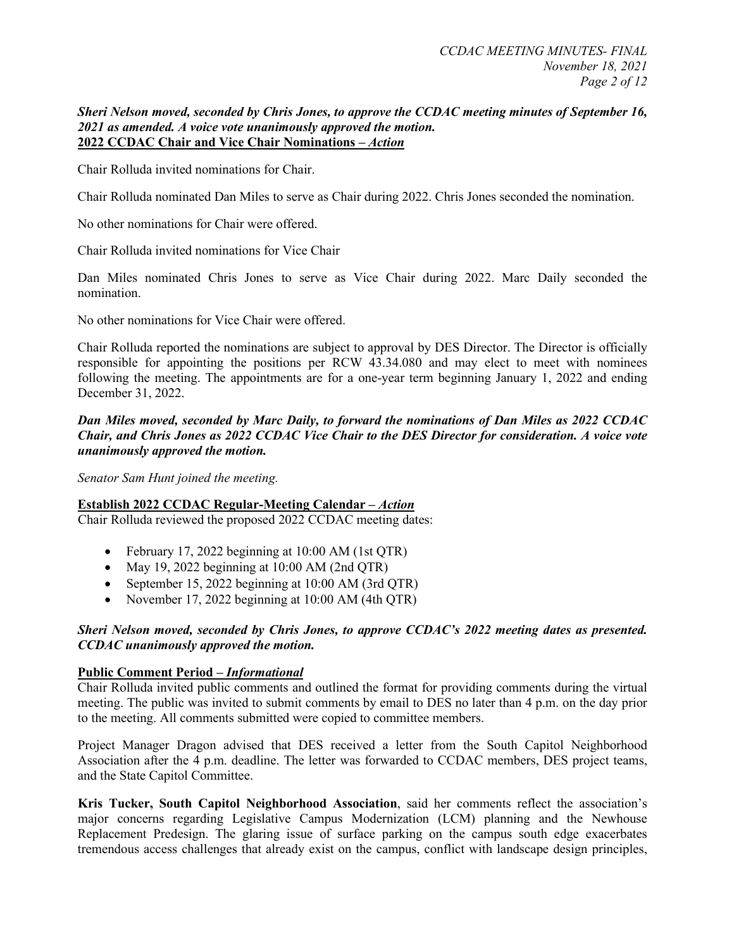#### *Sheri Nelson moved, seconded by Chris Jones, to approve the CCDAC meeting minutes of September 16, 2021 as amended. A voice vote unanimously approved the motion.* **2022 CCDAC Chair and Vice Chair Nominations –** *Action*

Chair Rolluda invited nominations for Chair.

Chair Rolluda nominated Dan Miles to serve as Chair during 2022. Chris Jones seconded the nomination.

No other nominations for Chair were offered.

Chair Rolluda invited nominations for Vice Chair

Dan Miles nominated Chris Jones to serve as Vice Chair during 2022. Marc Daily seconded the nomination.

No other nominations for Vice Chair were offered.

Chair Rolluda reported the nominations are subject to approval by DES Director. The Director is officially responsible for appointing the positions per RCW 43.34.080 and may elect to meet with nominees following the meeting. The appointments are for a one-year term beginning January 1, 2022 and ending December 31, 2022.

#### *Dan Miles moved, seconded by Marc Daily, to forward the nominations of Dan Miles as 2022 CCDAC Chair, and Chris Jones as 2022 CCDAC Vice Chair to the DES Director for consideration. A voice vote unanimously approved the motion.*

*Senator Sam Hunt joined the meeting.*

### **Establish 2022 CCDAC Regular-Meeting Calendar –** *Action*

Chair Rolluda reviewed the proposed 2022 CCDAC meeting dates:

- February 17, 2022 beginning at 10:00 AM (1st QTR)
- May 19, 2022 beginning at 10:00 AM (2nd QTR)
- September 15, 2022 beginning at 10:00 AM (3rd OTR)
- November 17, 2022 beginning at 10:00 AM (4th OTR)

### *Sheri Nelson moved, seconded by Chris Jones, to approve CCDAC's 2022 meeting dates as presented. CCDAC unanimously approved the motion.*

#### **Public Comment Period –** *Informational*

Chair Rolluda invited public comments and outlined the format for providing comments during the virtual meeting. The public was invited to submit comments by email to DES no later than 4 p.m. on the day prior to the meeting. All comments submitted were copied to committee members.

Project Manager Dragon advised that DES received a letter from the South Capitol Neighborhood Association after the 4 p.m. deadline. The letter was forwarded to CCDAC members, DES project teams, and the State Capitol Committee.

**Kris Tucker, South Capitol Neighborhood Association**, said her comments reflect the association's major concerns regarding Legislative Campus Modernization (LCM) planning and the Newhouse Replacement Predesign. The glaring issue of surface parking on the campus south edge exacerbates tremendous access challenges that already exist on the campus, conflict with landscape design principles,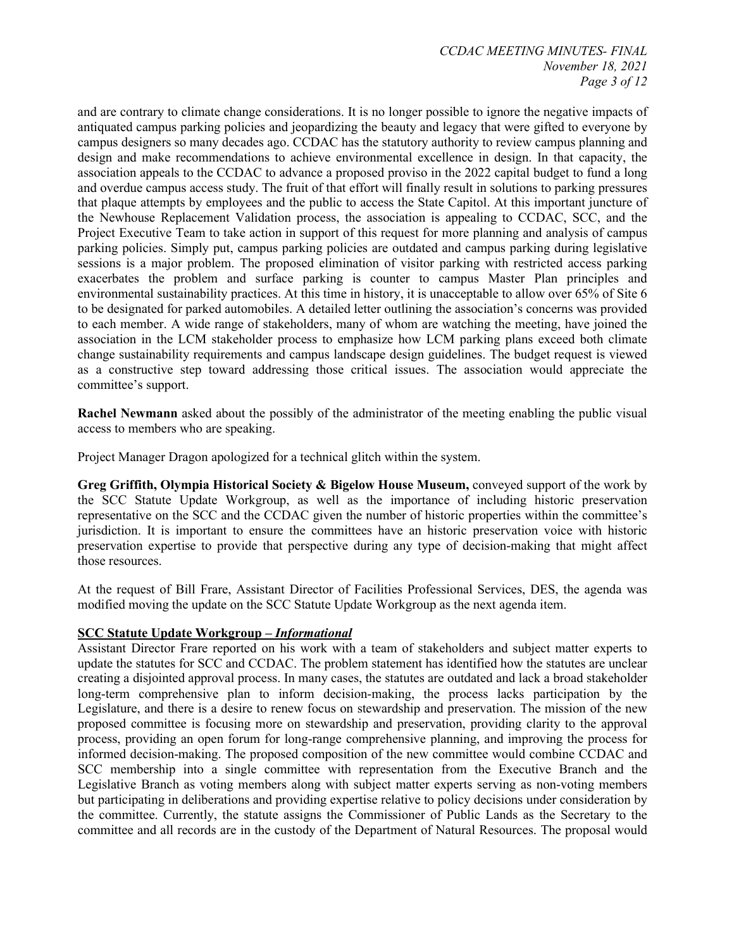and are contrary to climate change considerations. It is no longer possible to ignore the negative impacts of antiquated campus parking policies and jeopardizing the beauty and legacy that were gifted to everyone by campus designers so many decades ago. CCDAC has the statutory authority to review campus planning and design and make recommendations to achieve environmental excellence in design. In that capacity, the association appeals to the CCDAC to advance a proposed proviso in the 2022 capital budget to fund a long and overdue campus access study. The fruit of that effort will finally result in solutions to parking pressures that plaque attempts by employees and the public to access the State Capitol. At this important juncture of the Newhouse Replacement Validation process, the association is appealing to CCDAC, SCC, and the Project Executive Team to take action in support of this request for more planning and analysis of campus parking policies. Simply put, campus parking policies are outdated and campus parking during legislative sessions is a major problem. The proposed elimination of visitor parking with restricted access parking exacerbates the problem and surface parking is counter to campus Master Plan principles and environmental sustainability practices. At this time in history, it is unacceptable to allow over 65% of Site 6 to be designated for parked automobiles. A detailed letter outlining the association's concerns was provided to each member. A wide range of stakeholders, many of whom are watching the meeting, have joined the association in the LCM stakeholder process to emphasize how LCM parking plans exceed both climate change sustainability requirements and campus landscape design guidelines. The budget request is viewed as a constructive step toward addressing those critical issues. The association would appreciate the committee's support.

**Rachel Newmann** asked about the possibly of the administrator of the meeting enabling the public visual access to members who are speaking.

Project Manager Dragon apologized for a technical glitch within the system.

**Greg Griffith, Olympia Historical Society & Bigelow House Museum,** conveyed support of the work by the SCC Statute Update Workgroup, as well as the importance of including historic preservation representative on the SCC and the CCDAC given the number of historic properties within the committee's jurisdiction. It is important to ensure the committees have an historic preservation voice with historic preservation expertise to provide that perspective during any type of decision-making that might affect those resources.

At the request of Bill Frare, Assistant Director of Facilities Professional Services, DES, the agenda was modified moving the update on the SCC Statute Update Workgroup as the next agenda item.

#### **SCC Statute Update Workgroup –** *Informational*

Assistant Director Frare reported on his work with a team of stakeholders and subject matter experts to update the statutes for SCC and CCDAC. The problem statement has identified how the statutes are unclear creating a disjointed approval process. In many cases, the statutes are outdated and lack a broad stakeholder long-term comprehensive plan to inform decision-making, the process lacks participation by the Legislature, and there is a desire to renew focus on stewardship and preservation. The mission of the new proposed committee is focusing more on stewardship and preservation, providing clarity to the approval process, providing an open forum for long-range comprehensive planning, and improving the process for informed decision-making. The proposed composition of the new committee would combine CCDAC and SCC membership into a single committee with representation from the Executive Branch and the Legislative Branch as voting members along with subject matter experts serving as non-voting members but participating in deliberations and providing expertise relative to policy decisions under consideration by the committee. Currently, the statute assigns the Commissioner of Public Lands as the Secretary to the committee and all records are in the custody of the Department of Natural Resources. The proposal would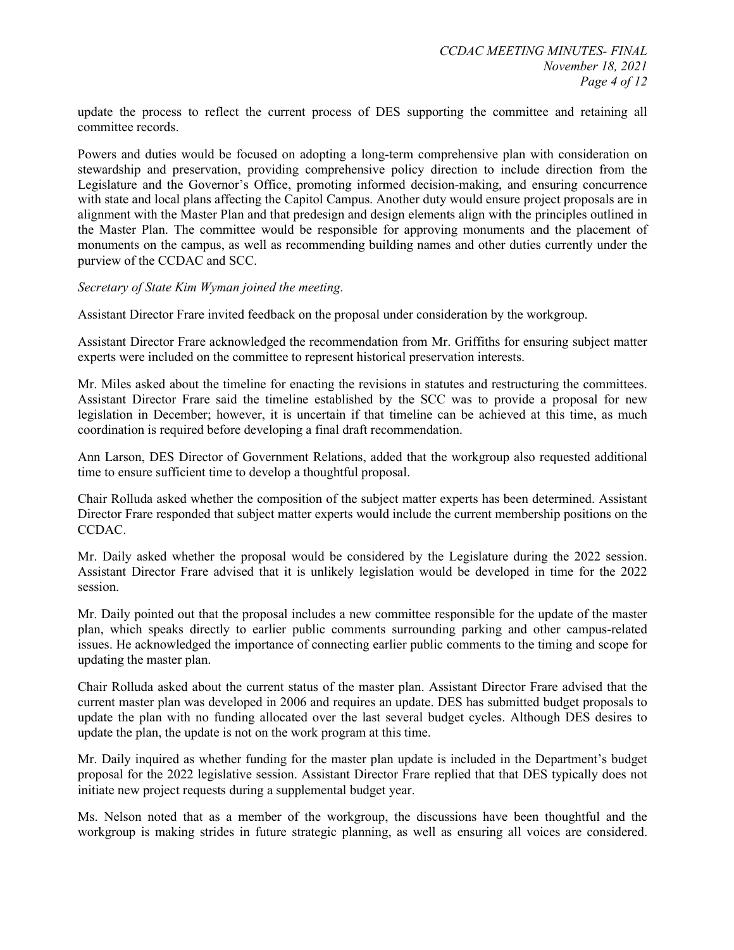update the process to reflect the current process of DES supporting the committee and retaining all committee records.

Powers and duties would be focused on adopting a long-term comprehensive plan with consideration on stewardship and preservation, providing comprehensive policy direction to include direction from the Legislature and the Governor's Office, promoting informed decision-making, and ensuring concurrence with state and local plans affecting the Capitol Campus. Another duty would ensure project proposals are in alignment with the Master Plan and that predesign and design elements align with the principles outlined in the Master Plan. The committee would be responsible for approving monuments and the placement of monuments on the campus, as well as recommending building names and other duties currently under the purview of the CCDAC and SCC.

#### *Secretary of State Kim Wyman joined the meeting.*

Assistant Director Frare invited feedback on the proposal under consideration by the workgroup.

Assistant Director Frare acknowledged the recommendation from Mr. Griffiths for ensuring subject matter experts were included on the committee to represent historical preservation interests.

Mr. Miles asked about the timeline for enacting the revisions in statutes and restructuring the committees. Assistant Director Frare said the timeline established by the SCC was to provide a proposal for new legislation in December; however, it is uncertain if that timeline can be achieved at this time, as much coordination is required before developing a final draft recommendation.

Ann Larson, DES Director of Government Relations, added that the workgroup also requested additional time to ensure sufficient time to develop a thoughtful proposal.

Chair Rolluda asked whether the composition of the subject matter experts has been determined. Assistant Director Frare responded that subject matter experts would include the current membership positions on the CCDAC.

Mr. Daily asked whether the proposal would be considered by the Legislature during the 2022 session. Assistant Director Frare advised that it is unlikely legislation would be developed in time for the 2022 session.

Mr. Daily pointed out that the proposal includes a new committee responsible for the update of the master plan, which speaks directly to earlier public comments surrounding parking and other campus-related issues. He acknowledged the importance of connecting earlier public comments to the timing and scope for updating the master plan.

Chair Rolluda asked about the current status of the master plan. Assistant Director Frare advised that the current master plan was developed in 2006 and requires an update. DES has submitted budget proposals to update the plan with no funding allocated over the last several budget cycles. Although DES desires to update the plan, the update is not on the work program at this time.

Mr. Daily inquired as whether funding for the master plan update is included in the Department's budget proposal for the 2022 legislative session. Assistant Director Frare replied that that DES typically does not initiate new project requests during a supplemental budget year.

Ms. Nelson noted that as a member of the workgroup, the discussions have been thoughtful and the workgroup is making strides in future strategic planning, as well as ensuring all voices are considered.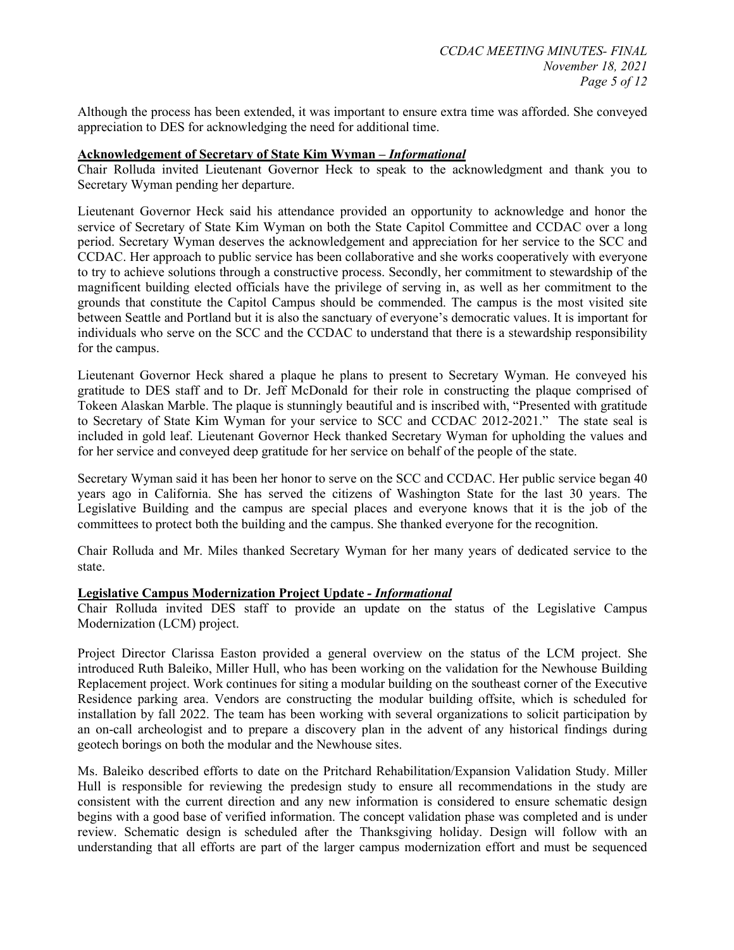Although the process has been extended, it was important to ensure extra time was afforded. She conveyed appreciation to DES for acknowledging the need for additional time.

#### **Acknowledgement of Secretary of State Kim Wyman –** *Informational*

Chair Rolluda invited Lieutenant Governor Heck to speak to the acknowledgment and thank you to Secretary Wyman pending her departure.

Lieutenant Governor Heck said his attendance provided an opportunity to acknowledge and honor the service of Secretary of State Kim Wyman on both the State Capitol Committee and CCDAC over a long period. Secretary Wyman deserves the acknowledgement and appreciation for her service to the SCC and CCDAC. Her approach to public service has been collaborative and she works cooperatively with everyone to try to achieve solutions through a constructive process. Secondly, her commitment to stewardship of the magnificent building elected officials have the privilege of serving in, as well as her commitment to the grounds that constitute the Capitol Campus should be commended. The campus is the most visited site between Seattle and Portland but it is also the sanctuary of everyone's democratic values. It is important for individuals who serve on the SCC and the CCDAC to understand that there is a stewardship responsibility for the campus.

Lieutenant Governor Heck shared a plaque he plans to present to Secretary Wyman. He conveyed his gratitude to DES staff and to Dr. Jeff McDonald for their role in constructing the plaque comprised of Tokeen Alaskan Marble. The plaque is stunningly beautiful and is inscribed with, "Presented with gratitude to Secretary of State Kim Wyman for your service to SCC and CCDAC 2012-2021." The state seal is included in gold leaf. Lieutenant Governor Heck thanked Secretary Wyman for upholding the values and for her service and conveyed deep gratitude for her service on behalf of the people of the state.

Secretary Wyman said it has been her honor to serve on the SCC and CCDAC. Her public service began 40 years ago in California. She has served the citizens of Washington State for the last 30 years. The Legislative Building and the campus are special places and everyone knows that it is the job of the committees to protect both the building and the campus. She thanked everyone for the recognition.

Chair Rolluda and Mr. Miles thanked Secretary Wyman for her many years of dedicated service to the state.

#### **Legislative Campus Modernization Project Update** *- Informational*

Chair Rolluda invited DES staff to provide an update on the status of the Legislative Campus Modernization (LCM) project.

Project Director Clarissa Easton provided a general overview on the status of the LCM project. She introduced Ruth Baleiko, Miller Hull, who has been working on the validation for the Newhouse Building Replacement project. Work continues for siting a modular building on the southeast corner of the Executive Residence parking area. Vendors are constructing the modular building offsite, which is scheduled for installation by fall 2022. The team has been working with several organizations to solicit participation by an on-call archeologist and to prepare a discovery plan in the advent of any historical findings during geotech borings on both the modular and the Newhouse sites.

Ms. Baleiko described efforts to date on the Pritchard Rehabilitation/Expansion Validation Study. Miller Hull is responsible for reviewing the predesign study to ensure all recommendations in the study are consistent with the current direction and any new information is considered to ensure schematic design begins with a good base of verified information. The concept validation phase was completed and is under review. Schematic design is scheduled after the Thanksgiving holiday. Design will follow with an understanding that all efforts are part of the larger campus modernization effort and must be sequenced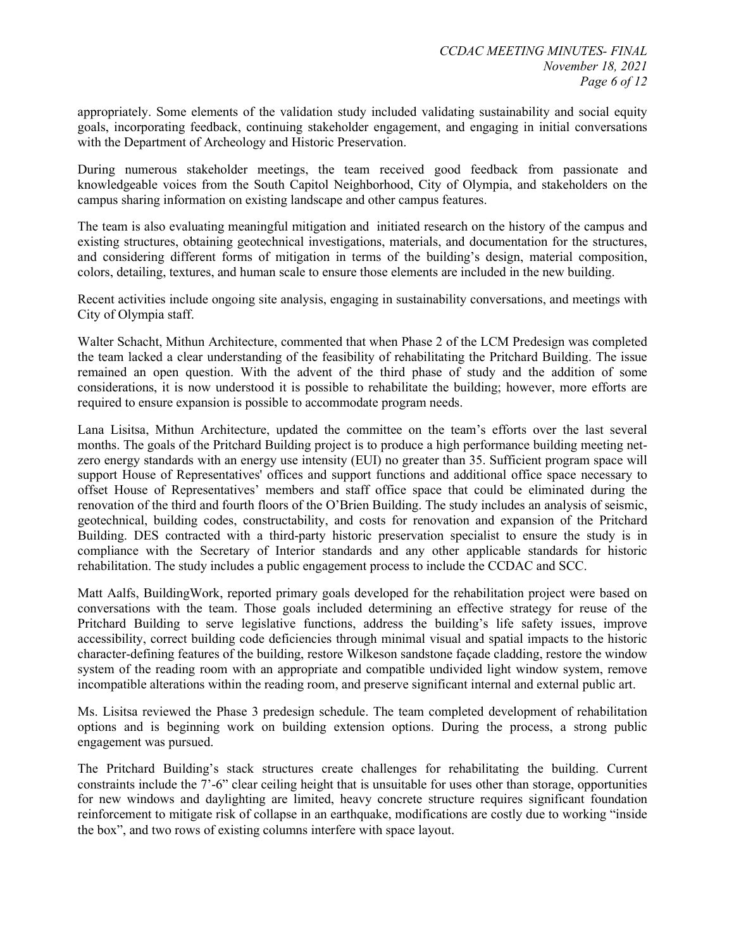appropriately. Some elements of the validation study included validating sustainability and social equity goals, incorporating feedback, continuing stakeholder engagement, and engaging in initial conversations with the Department of Archeology and Historic Preservation.

During numerous stakeholder meetings, the team received good feedback from passionate and knowledgeable voices from the South Capitol Neighborhood, City of Olympia, and stakeholders on the campus sharing information on existing landscape and other campus features.

The team is also evaluating meaningful mitigation and initiated research on the history of the campus and existing structures, obtaining geotechnical investigations, materials, and documentation for the structures, and considering different forms of mitigation in terms of the building's design, material composition, colors, detailing, textures, and human scale to ensure those elements are included in the new building.

Recent activities include ongoing site analysis, engaging in sustainability conversations, and meetings with City of Olympia staff.

Walter Schacht, Mithun Architecture, commented that when Phase 2 of the LCM Predesign was completed the team lacked a clear understanding of the feasibility of rehabilitating the Pritchard Building. The issue remained an open question. With the advent of the third phase of study and the addition of some considerations, it is now understood it is possible to rehabilitate the building; however, more efforts are required to ensure expansion is possible to accommodate program needs.

Lana Lisitsa, Mithun Architecture, updated the committee on the team's efforts over the last several months. The goals of the Pritchard Building project is to produce a high performance building meeting netzero energy standards with an energy use intensity (EUI) no greater than 35. Sufficient program space will support House of Representatives' offices and support functions and additional office space necessary to offset House of Representatives' members and staff office space that could be eliminated during the renovation of the third and fourth floors of the O'Brien Building. The study includes an analysis of seismic, geotechnical, building codes, constructability, and costs for renovation and expansion of the Pritchard Building. DES contracted with a third-party historic preservation specialist to ensure the study is in compliance with the Secretary of Interior standards and any other applicable standards for historic rehabilitation. The study includes a public engagement process to include the CCDAC and SCC.

Matt Aalfs, BuildingWork, reported primary goals developed for the rehabilitation project were based on conversations with the team. Those goals included determining an effective strategy for reuse of the Pritchard Building to serve legislative functions, address the building's life safety issues, improve accessibility, correct building code deficiencies through minimal visual and spatial impacts to the historic character-defining features of the building, restore Wilkeson sandstone façade cladding, restore the window system of the reading room with an appropriate and compatible undivided light window system, remove incompatible alterations within the reading room, and preserve significant internal and external public art.

Ms. Lisitsa reviewed the Phase 3 predesign schedule. The team completed development of rehabilitation options and is beginning work on building extension options. During the process, a strong public engagement was pursued.

The Pritchard Building's stack structures create challenges for rehabilitating the building. Current constraints include the 7'-6" clear ceiling height that is unsuitable for uses other than storage, opportunities for new windows and daylighting are limited, heavy concrete structure requires significant foundation reinforcement to mitigate risk of collapse in an earthquake, modifications are costly due to working "inside the box", and two rows of existing columns interfere with space layout.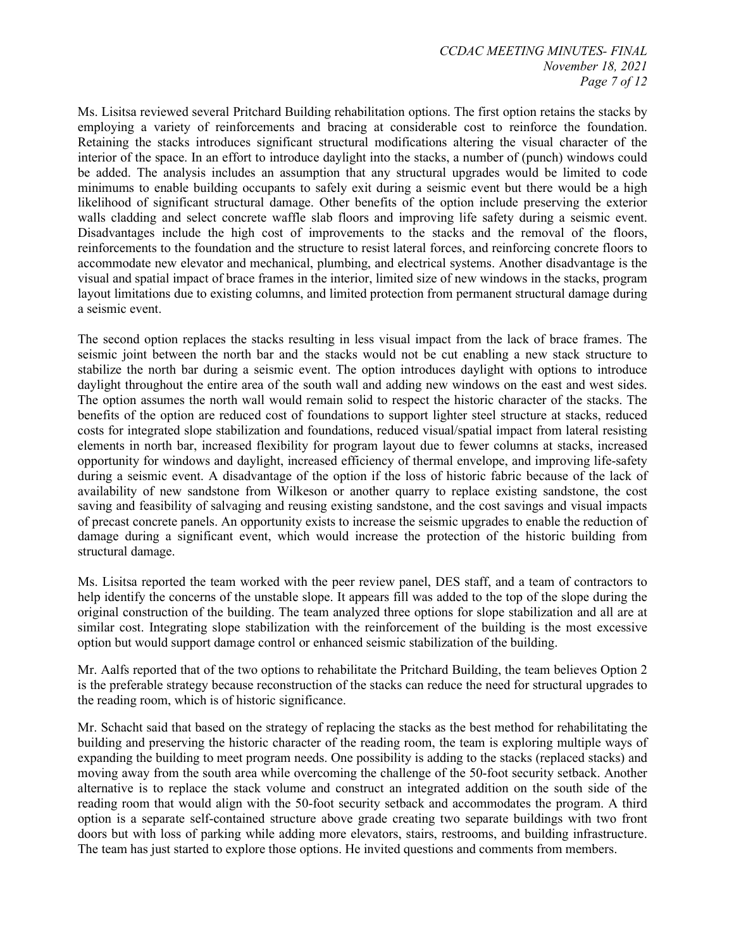Ms. Lisitsa reviewed several Pritchard Building rehabilitation options. The first option retains the stacks by employing a variety of reinforcements and bracing at considerable cost to reinforce the foundation. Retaining the stacks introduces significant structural modifications altering the visual character of the interior of the space. In an effort to introduce daylight into the stacks, a number of (punch) windows could be added. The analysis includes an assumption that any structural upgrades would be limited to code minimums to enable building occupants to safely exit during a seismic event but there would be a high likelihood of significant structural damage. Other benefits of the option include preserving the exterior walls cladding and select concrete waffle slab floors and improving life safety during a seismic event. Disadvantages include the high cost of improvements to the stacks and the removal of the floors, reinforcements to the foundation and the structure to resist lateral forces, and reinforcing concrete floors to accommodate new elevator and mechanical, plumbing, and electrical systems. Another disadvantage is the visual and spatial impact of brace frames in the interior, limited size of new windows in the stacks, program layout limitations due to existing columns, and limited protection from permanent structural damage during a seismic event.

The second option replaces the stacks resulting in less visual impact from the lack of brace frames. The seismic joint between the north bar and the stacks would not be cut enabling a new stack structure to stabilize the north bar during a seismic event. The option introduces daylight with options to introduce daylight throughout the entire area of the south wall and adding new windows on the east and west sides. The option assumes the north wall would remain solid to respect the historic character of the stacks. The benefits of the option are reduced cost of foundations to support lighter steel structure at stacks, reduced costs for integrated slope stabilization and foundations, reduced visual/spatial impact from lateral resisting elements in north bar, increased flexibility for program layout due to fewer columns at stacks, increased opportunity for windows and daylight, increased efficiency of thermal envelope, and improving life-safety during a seismic event. A disadvantage of the option if the loss of historic fabric because of the lack of availability of new sandstone from Wilkeson or another quarry to replace existing sandstone, the cost saving and feasibility of salvaging and reusing existing sandstone, and the cost savings and visual impacts of precast concrete panels. An opportunity exists to increase the seismic upgrades to enable the reduction of damage during a significant event, which would increase the protection of the historic building from structural damage.

Ms. Lisitsa reported the team worked with the peer review panel, DES staff, and a team of contractors to help identify the concerns of the unstable slope. It appears fill was added to the top of the slope during the original construction of the building. The team analyzed three options for slope stabilization and all are at similar cost. Integrating slope stabilization with the reinforcement of the building is the most excessive option but would support damage control or enhanced seismic stabilization of the building.

Mr. Aalfs reported that of the two options to rehabilitate the Pritchard Building, the team believes Option 2 is the preferable strategy because reconstruction of the stacks can reduce the need for structural upgrades to the reading room, which is of historic significance.

Mr. Schacht said that based on the strategy of replacing the stacks as the best method for rehabilitating the building and preserving the historic character of the reading room, the team is exploring multiple ways of expanding the building to meet program needs. One possibility is adding to the stacks (replaced stacks) and moving away from the south area while overcoming the challenge of the 50-foot security setback. Another alternative is to replace the stack volume and construct an integrated addition on the south side of the reading room that would align with the 50-foot security setback and accommodates the program. A third option is a separate self-contained structure above grade creating two separate buildings with two front doors but with loss of parking while adding more elevators, stairs, restrooms, and building infrastructure. The team has just started to explore those options. He invited questions and comments from members.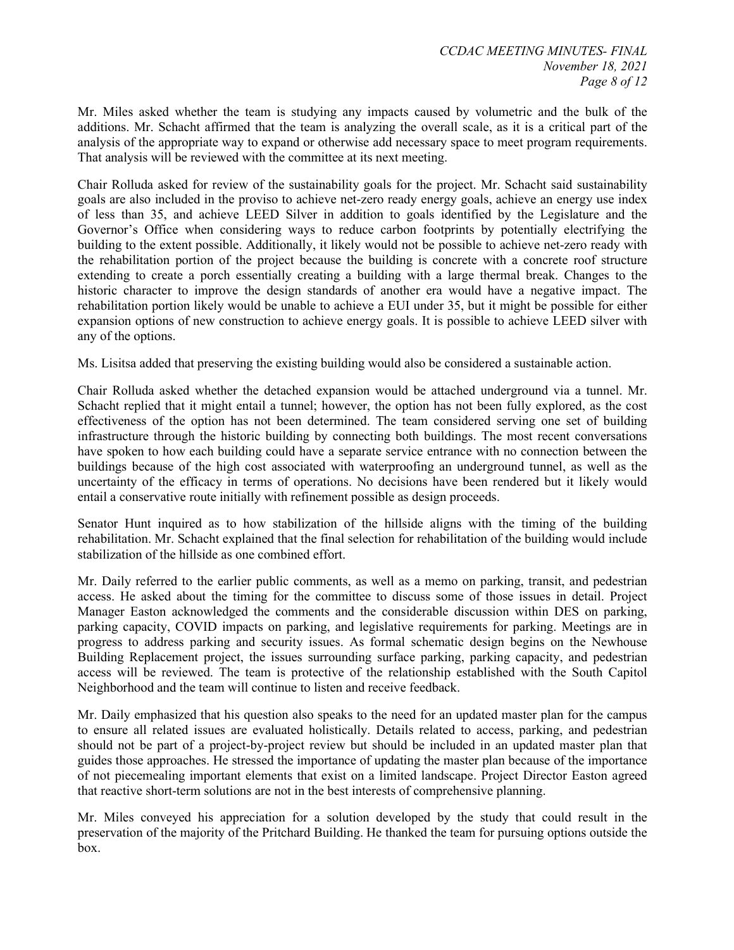Mr. Miles asked whether the team is studying any impacts caused by volumetric and the bulk of the additions. Mr. Schacht affirmed that the team is analyzing the overall scale, as it is a critical part of the analysis of the appropriate way to expand or otherwise add necessary space to meet program requirements. That analysis will be reviewed with the committee at its next meeting.

Chair Rolluda asked for review of the sustainability goals for the project. Mr. Schacht said sustainability goals are also included in the proviso to achieve net-zero ready energy goals, achieve an energy use index of less than 35, and achieve LEED Silver in addition to goals identified by the Legislature and the Governor's Office when considering ways to reduce carbon footprints by potentially electrifying the building to the extent possible. Additionally, it likely would not be possible to achieve net-zero ready with the rehabilitation portion of the project because the building is concrete with a concrete roof structure extending to create a porch essentially creating a building with a large thermal break. Changes to the historic character to improve the design standards of another era would have a negative impact. The rehabilitation portion likely would be unable to achieve a EUI under 35, but it might be possible for either expansion options of new construction to achieve energy goals. It is possible to achieve LEED silver with any of the options.

Ms. Lisitsa added that preserving the existing building would also be considered a sustainable action.

Chair Rolluda asked whether the detached expansion would be attached underground via a tunnel. Mr. Schacht replied that it might entail a tunnel; however, the option has not been fully explored, as the cost effectiveness of the option has not been determined. The team considered serving one set of building infrastructure through the historic building by connecting both buildings. The most recent conversations have spoken to how each building could have a separate service entrance with no connection between the buildings because of the high cost associated with waterproofing an underground tunnel, as well as the uncertainty of the efficacy in terms of operations. No decisions have been rendered but it likely would entail a conservative route initially with refinement possible as design proceeds.

Senator Hunt inquired as to how stabilization of the hillside aligns with the timing of the building rehabilitation. Mr. Schacht explained that the final selection for rehabilitation of the building would include stabilization of the hillside as one combined effort.

Mr. Daily referred to the earlier public comments, as well as a memo on parking, transit, and pedestrian access. He asked about the timing for the committee to discuss some of those issues in detail. Project Manager Easton acknowledged the comments and the considerable discussion within DES on parking, parking capacity, COVID impacts on parking, and legislative requirements for parking. Meetings are in progress to address parking and security issues. As formal schematic design begins on the Newhouse Building Replacement project, the issues surrounding surface parking, parking capacity, and pedestrian access will be reviewed. The team is protective of the relationship established with the South Capitol Neighborhood and the team will continue to listen and receive feedback.

Mr. Daily emphasized that his question also speaks to the need for an updated master plan for the campus to ensure all related issues are evaluated holistically. Details related to access, parking, and pedestrian should not be part of a project-by-project review but should be included in an updated master plan that guides those approaches. He stressed the importance of updating the master plan because of the importance of not piecemealing important elements that exist on a limited landscape. Project Director Easton agreed that reactive short-term solutions are not in the best interests of comprehensive planning.

Mr. Miles conveyed his appreciation for a solution developed by the study that could result in the preservation of the majority of the Pritchard Building. He thanked the team for pursuing options outside the box.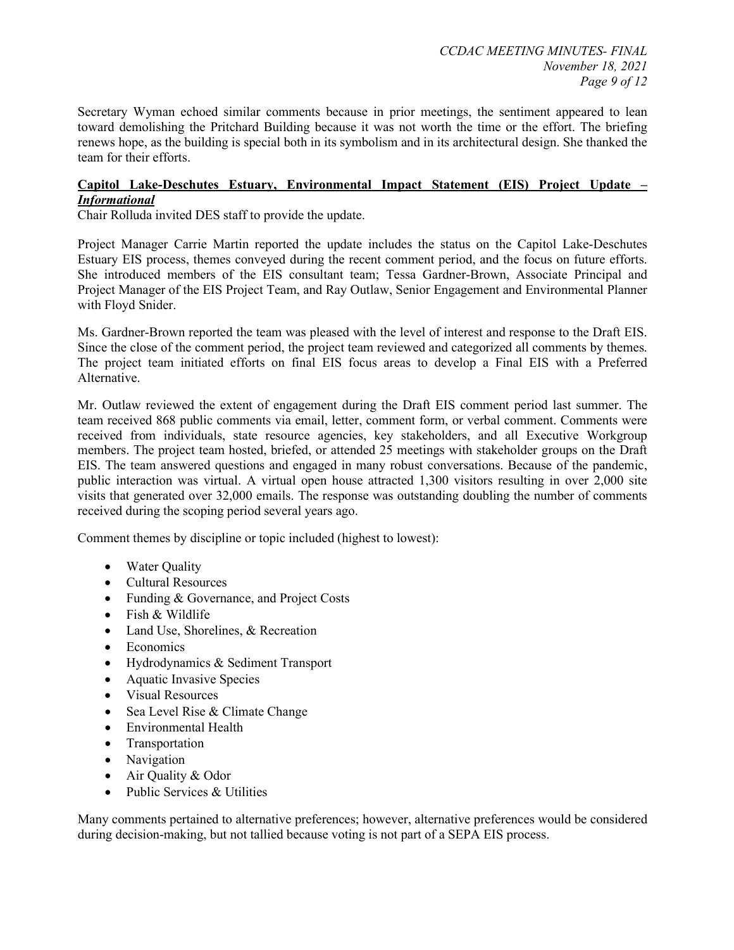Secretary Wyman echoed similar comments because in prior meetings, the sentiment appeared to lean toward demolishing the Pritchard Building because it was not worth the time or the effort. The briefing renews hope, as the building is special both in its symbolism and in its architectural design. She thanked the team for their efforts.

#### **Capitol Lake-Deschutes Estuary, Environmental Impact Statement (EIS) Project Update –** *Informational*

Chair Rolluda invited DES staff to provide the update.

Project Manager Carrie Martin reported the update includes the status on the Capitol Lake-Deschutes Estuary EIS process, themes conveyed during the recent comment period, and the focus on future efforts. She introduced members of the EIS consultant team; Tessa Gardner-Brown, Associate Principal and Project Manager of the EIS Project Team, and Ray Outlaw, Senior Engagement and Environmental Planner with Floyd Snider.

Ms. Gardner-Brown reported the team was pleased with the level of interest and response to the Draft EIS. Since the close of the comment period, the project team reviewed and categorized all comments by themes. The project team initiated efforts on final EIS focus areas to develop a Final EIS with a Preferred Alternative.

Mr. Outlaw reviewed the extent of engagement during the Draft EIS comment period last summer. The team received 868 public comments via email, letter, comment form, or verbal comment. Comments were received from individuals, state resource agencies, key stakeholders, and all Executive Workgroup members. The project team hosted, briefed, or attended 25 meetings with stakeholder groups on the Draft EIS. The team answered questions and engaged in many robust conversations. Because of the pandemic, public interaction was virtual. A virtual open house attracted 1,300 visitors resulting in over 2,000 site visits that generated over 32,000 emails. The response was outstanding doubling the number of comments received during the scoping period several years ago.

Comment themes by discipline or topic included (highest to lowest):

- Water Quality
- Cultural Resources
- Funding & Governance, and Project Costs
- Fish & Wildlife
- Land Use, Shorelines, & Recreation
- **Economics**
- Hydrodynamics & Sediment Transport
- Aquatic Invasive Species
- Visual Resources
- Sea Level Rise & Climate Change
- Environmental Health
- Transportation
- Navigation
- Air Quality & Odor
- Public Services & Utilities

Many comments pertained to alternative preferences; however, alternative preferences would be considered during decision-making, but not tallied because voting is not part of a SEPA EIS process.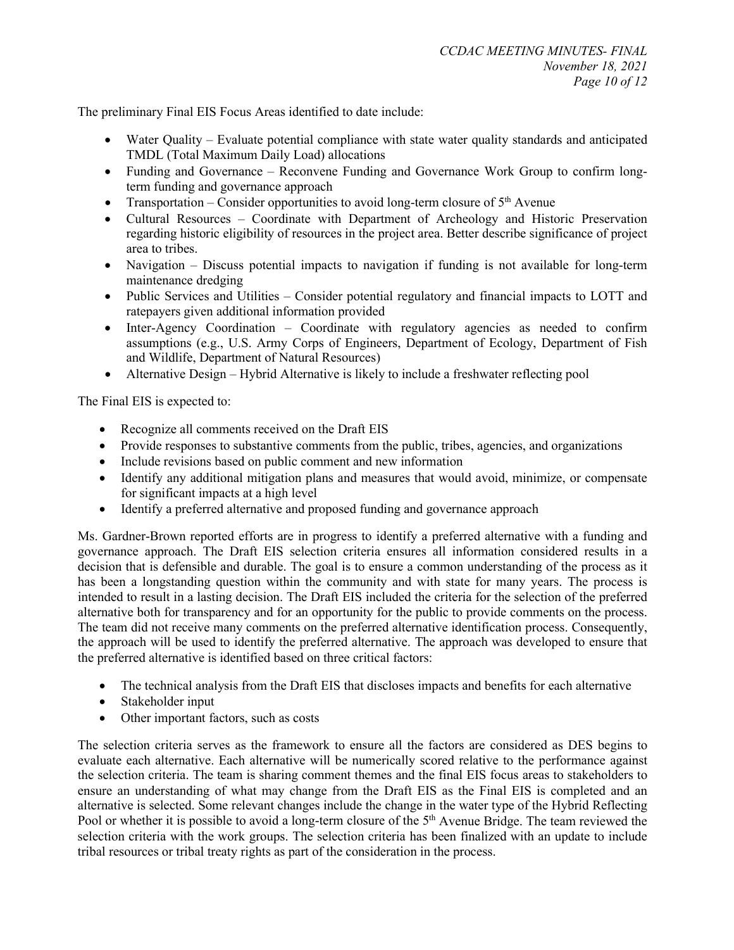The preliminary Final EIS Focus Areas identified to date include:

- Water Quality Evaluate potential compliance with state water quality standards and anticipated TMDL (Total Maximum Daily Load) allocations
- Funding and Governance Reconvene Funding and Governance Work Group to confirm longterm funding and governance approach
- Transportation Consider opportunities to avoid long-term closure of  $5<sup>th</sup>$  Avenue
- Cultural Resources Coordinate with Department of Archeology and Historic Preservation regarding historic eligibility of resources in the project area. Better describe significance of project area to tribes.
- Navigation Discuss potential impacts to navigation if funding is not available for long-term maintenance dredging
- Public Services and Utilities Consider potential regulatory and financial impacts to LOTT and ratepayers given additional information provided
- Inter-Agency Coordination Coordinate with regulatory agencies as needed to confirm assumptions (e.g., U.S. Army Corps of Engineers, Department of Ecology, Department of Fish and Wildlife, Department of Natural Resources)
- Alternative Design Hybrid Alternative is likely to include a freshwater reflecting pool

The Final EIS is expected to:

- Recognize all comments received on the Draft EIS
- Provide responses to substantive comments from the public, tribes, agencies, and organizations
- Include revisions based on public comment and new information
- Identify any additional mitigation plans and measures that would avoid, minimize, or compensate for significant impacts at a high level
- Identify a preferred alternative and proposed funding and governance approach

Ms. Gardner-Brown reported efforts are in progress to identify a preferred alternative with a funding and governance approach. The Draft EIS selection criteria ensures all information considered results in a decision that is defensible and durable. The goal is to ensure a common understanding of the process as it has been a longstanding question within the community and with state for many years. The process is intended to result in a lasting decision. The Draft EIS included the criteria for the selection of the preferred alternative both for transparency and for an opportunity for the public to provide comments on the process. The team did not receive many comments on the preferred alternative identification process. Consequently, the approach will be used to identify the preferred alternative. The approach was developed to ensure that the preferred alternative is identified based on three critical factors:

- The technical analysis from the Draft EIS that discloses impacts and benefits for each alternative
- Stakeholder input
- Other important factors, such as costs

The selection criteria serves as the framework to ensure all the factors are considered as DES begins to evaluate each alternative. Each alternative will be numerically scored relative to the performance against the selection criteria. The team is sharing comment themes and the final EIS focus areas to stakeholders to ensure an understanding of what may change from the Draft EIS as the Final EIS is completed and an alternative is selected. Some relevant changes include the change in the water type of the Hybrid Reflecting Pool or whether it is possible to avoid a long-term closure of the  $5<sup>th</sup>$  Avenue Bridge. The team reviewed the selection criteria with the work groups. The selection criteria has been finalized with an update to include tribal resources or tribal treaty rights as part of the consideration in the process.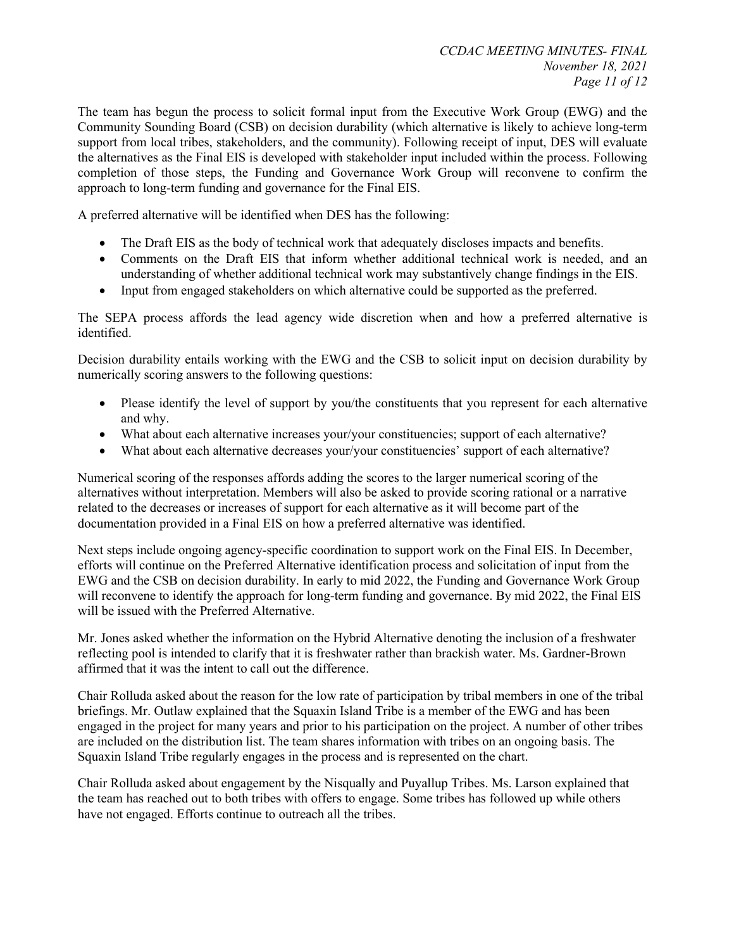The team has begun the process to solicit formal input from the Executive Work Group (EWG) and the Community Sounding Board (CSB) on decision durability (which alternative is likely to achieve long-term support from local tribes, stakeholders, and the community). Following receipt of input, DES will evaluate the alternatives as the Final EIS is developed with stakeholder input included within the process. Following completion of those steps, the Funding and Governance Work Group will reconvene to confirm the approach to long-term funding and governance for the Final EIS.

A preferred alternative will be identified when DES has the following:

- The Draft EIS as the body of technical work that adequately discloses impacts and benefits.
- Comments on the Draft EIS that inform whether additional technical work is needed, and an understanding of whether additional technical work may substantively change findings in the EIS.
- Input from engaged stakeholders on which alternative could be supported as the preferred.

The SEPA process affords the lead agency wide discretion when and how a preferred alternative is identified.

Decision durability entails working with the EWG and the CSB to solicit input on decision durability by numerically scoring answers to the following questions:

- Please identify the level of support by you/the constituents that you represent for each alternative and why.
- What about each alternative increases your/your constituencies; support of each alternative?
- What about each alternative decreases your/your constituencies' support of each alternative?

Numerical scoring of the responses affords adding the scores to the larger numerical scoring of the alternatives without interpretation. Members will also be asked to provide scoring rational or a narrative related to the decreases or increases of support for each alternative as it will become part of the documentation provided in a Final EIS on how a preferred alternative was identified.

Next steps include ongoing agency-specific coordination to support work on the Final EIS. In December, efforts will continue on the Preferred Alternative identification process and solicitation of input from the EWG and the CSB on decision durability. In early to mid 2022, the Funding and Governance Work Group will reconvene to identify the approach for long-term funding and governance. By mid 2022, the Final EIS will be issued with the Preferred Alternative.

Mr. Jones asked whether the information on the Hybrid Alternative denoting the inclusion of a freshwater reflecting pool is intended to clarify that it is freshwater rather than brackish water. Ms. Gardner-Brown affirmed that it was the intent to call out the difference.

Chair Rolluda asked about the reason for the low rate of participation by tribal members in one of the tribal briefings. Mr. Outlaw explained that the Squaxin Island Tribe is a member of the EWG and has been engaged in the project for many years and prior to his participation on the project. A number of other tribes are included on the distribution list. The team shares information with tribes on an ongoing basis. The Squaxin Island Tribe regularly engages in the process and is represented on the chart.

Chair Rolluda asked about engagement by the Nisqually and Puyallup Tribes. Ms. Larson explained that the team has reached out to both tribes with offers to engage. Some tribes has followed up while others have not engaged. Efforts continue to outreach all the tribes.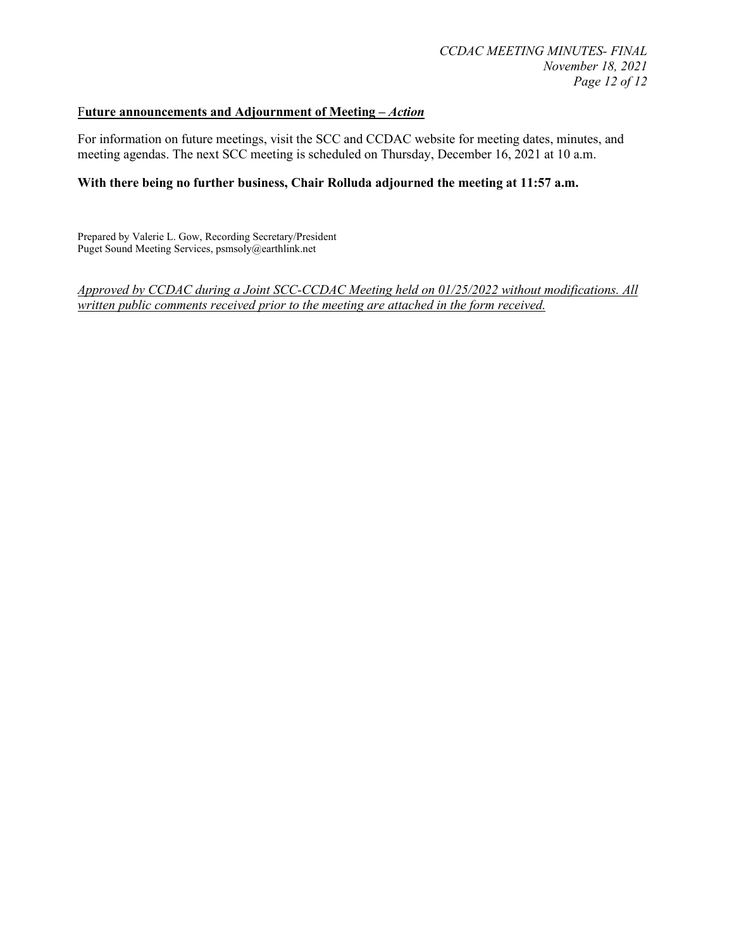### F**uture announcements and Adjournment of Meeting –** *Action*

For information on future meetings, visit the SCC and CCDAC website for meeting dates, minutes, and meeting agendas. The next SCC meeting is scheduled on Thursday, December 16, 2021 at 10 a.m.

#### **With there being no further business, Chair Rolluda adjourned the meeting at 11:57 a.m.**

Prepared by Valerie L. Gow, Recording Secretary/President Puget Sound Meeting Services, psmsoly@earthlink.net

*Approved by CCDAC during a Joint SCC-CCDAC Meeting held on 01/25/2022 without modifications. All written public comments received prior to the meeting are attached in the form received.*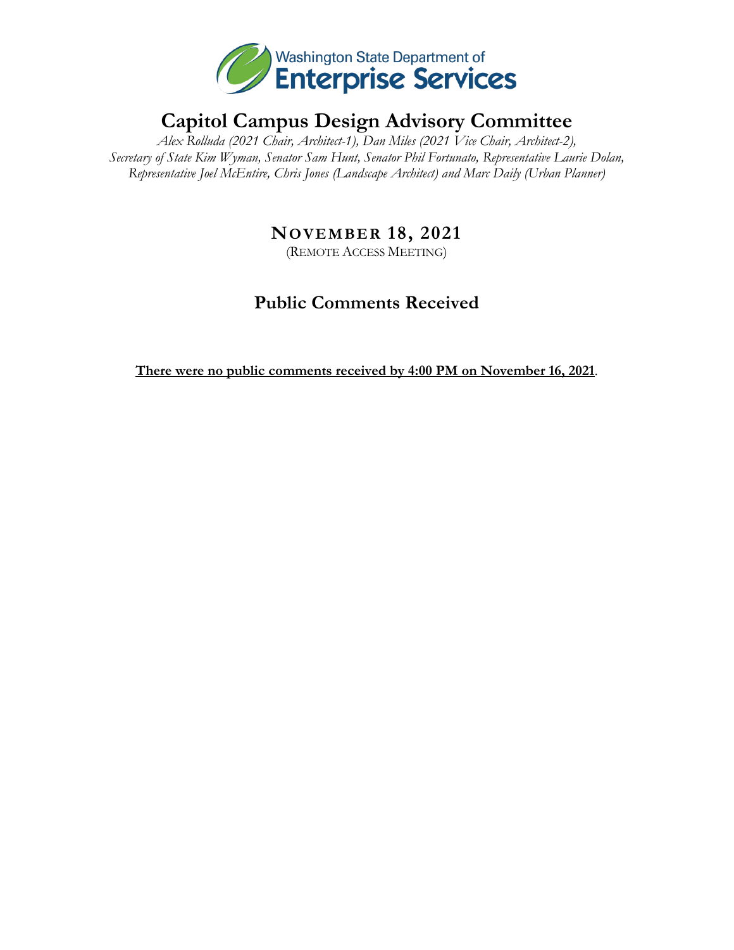

# **Capitol Campus Design Advisory Committee**

*Alex Rolluda (2021 Chair, Architect-1), Dan Miles (2021 Vice Chair, Architect-2), Secretary of State Kim Wyman, Senator Sam Hunt, Senator Phil Fortunato, Representative Laurie Dolan, Representative Joel McEntire, Chris Jones (Landscape Architect) and Marc Daily (Urban Planner)*

# **NOVEMBER 18, 2021**

(REMOTE ACCESS MEETING)

# **Public Comments Received**

**There were no public comments received by 4:00 PM on November 16, 2021**.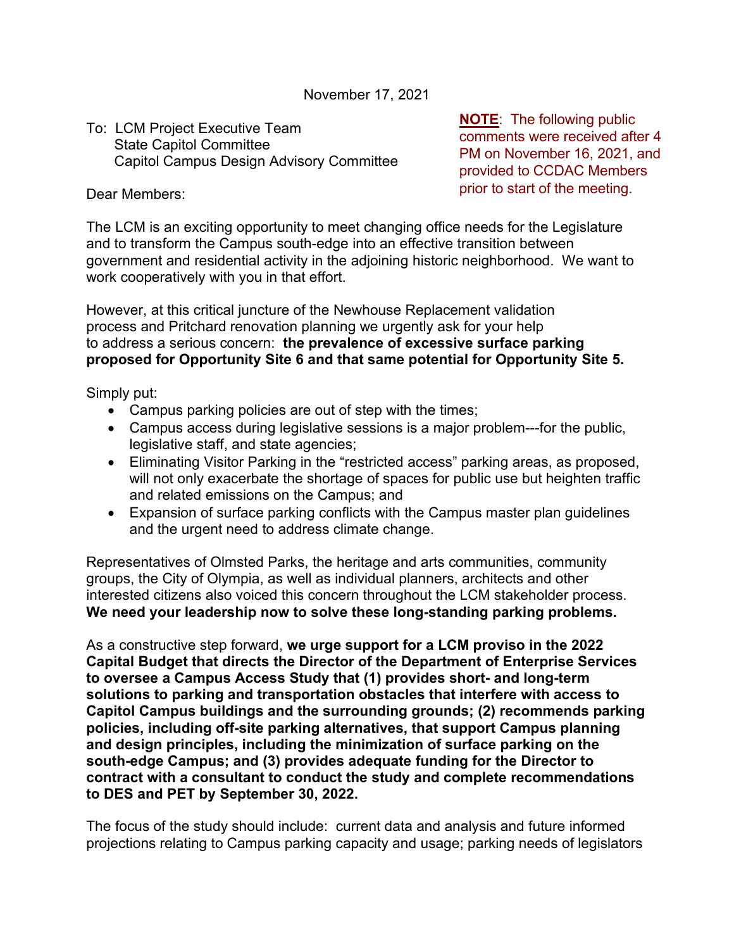November 17, 2021

# To: LCM Project Executive Team State Capitol Committee Capitol Campus Design Advisory Committee

**NOTE**: The following public comments were received after 4 PM on November 16, 2021, and provided to CCDAC Members prior to start of the meeting.

Dear Members:

The LCM is an exciting opportunity to meet changing office needs for the Legislature and to transform the Campus south-edge into an effective transition between government and residential activity in the adjoining historic neighborhood. We want to work cooperatively with you in that effort.

However, at this critical juncture of the Newhouse Replacement validation process and Pritchard renovation planning we urgently ask for your help to address a serious concern: **the prevalence of excessive surface parking proposed for Opportunity Site 6 and that same potential for Opportunity Site 5.**

Simply put:

- Campus parking policies are out of step with the times;
- Campus access during legislative sessions is a major problem---for the public, legislative staff, and state agencies;
- Eliminating Visitor Parking in the "restricted access" parking areas, as proposed, will not only exacerbate the shortage of spaces for public use but heighten traffic and related emissions on the Campus; and
- Expansion of surface parking conflicts with the Campus master plan guidelines and the urgent need to address climate change.

Representatives of Olmsted Parks, the heritage and arts communities, community groups, the City of Olympia, as well as individual planners, architects and other interested citizens also voiced this concern throughout the LCM stakeholder process. **We need your leadership now to solve these long-standing parking problems.** 

As a constructive step forward, **we urge support for a LCM proviso in the 2022 Capital Budget that directs the Director of the Department of Enterprise Services to oversee a Campus Access Study that (1) provides short- and long-term solutions to parking and transportation obstacles that interfere with access to Capitol Campus buildings and the surrounding grounds; (2) recommends parking policies, including off-site parking alternatives, that support Campus planning and design principles, including the minimization of surface parking on the south-edge Campus; and (3) provides adequate funding for the Director to contract with a consultant to conduct the study and complete recommendations to DES and PET by September 30, 2022.** 

The focus of the study should include: current data and analysis and future informed projections relating to Campus parking capacity and usage; parking needs of legislators